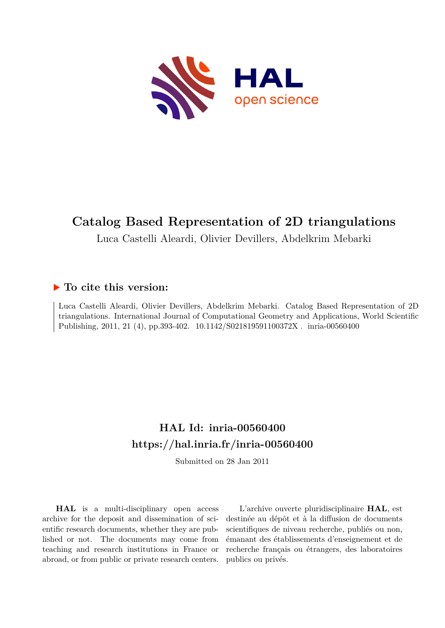

# **Catalog Based Representation of 2D triangulations**

Luca Castelli Aleardi, Olivier Devillers, Abdelkrim Mebarki

# **To cite this version:**

Luca Castelli Aleardi, Olivier Devillers, Abdelkrim Mebarki. Catalog Based Representation of 2D triangulations. International Journal of Computational Geometry and Applications, World Scientific Publishing, 2011, 21 (4), pp.393-402. 10.1142/S021819591100372X . inria-00560400

# **HAL Id: inria-00560400 <https://hal.inria.fr/inria-00560400>**

Submitted on 28 Jan 2011

**HAL** is a multi-disciplinary open access archive for the deposit and dissemination of scientific research documents, whether they are published or not. The documents may come from teaching and research institutions in France or abroad, or from public or private research centers.

L'archive ouverte pluridisciplinaire **HAL**, est destinée au dépôt et à la diffusion de documents scientifiques de niveau recherche, publiés ou non, émanant des établissements d'enseignement et de recherche français ou étrangers, des laboratoires publics ou privés.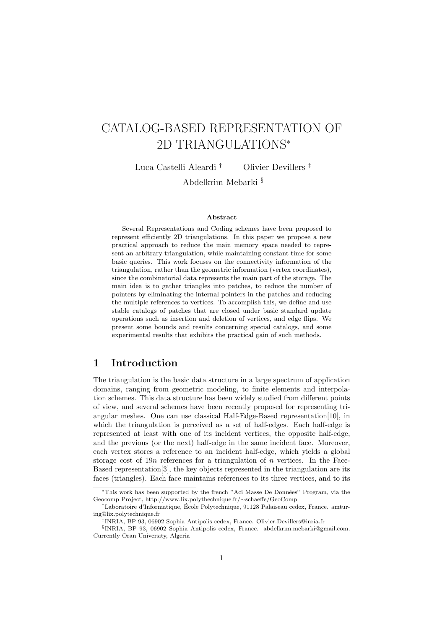# CATALOG-BASED REPRESENTATION OF 2D TRIANGULATIONS<sup>∗</sup>

Luca Castelli Aleardi † Olivier Devillers ‡

Abdelkrim Mebarki §

#### Abstract

Several Representations and Coding schemes have been proposed to represent efficiently 2D triangulations. In this paper we propose a new practical approach to reduce the main memory space needed to represent an arbitrary triangulation, while maintaining constant time for some basic queries. This work focuses on the connectivity information of the triangulation, rather than the geometric information (vertex coordinates), since the combinatorial data represents the main part of the storage. The main idea is to gather triangles into patches, to reduce the number of pointers by eliminating the internal pointers in the patches and reducing the multiple references to vertices. To accomplish this, we define and use stable catalogs of patches that are closed under basic standard update operations such as insertion and deletion of vertices, and edge flips. We present some bounds and results concerning special catalogs, and some experimental results that exhibits the practical gain of such methods.

## 1 Introduction

The triangulation is the basic data structure in a large spectrum of application domains, ranging from geometric modeling, to finite elements and interpolation schemes. This data structure has been widely studied from different points of view, and several schemes have been recently proposed for representing triangular meshes. One can use classical Half-Edge-Based representation[10], in which the triangulation is perceived as a set of half-edges. Each half-edge is represented at least with one of its incident vertices, the opposite half-edge, and the previous (or the next) half-edge in the same incident face. Moreover, each vertex stores a reference to an incident half-edge, which yields a global storage cost of  $19n$  references for a triangulation of n vertices. In the Face-Based representation[3], the key objects represented in the triangulation are its faces (triangles). Each face maintains references to its three vertices, and to its

<sup>∗</sup>This work has been supported by the french "Aci Masse De Donn´ees" Program, via the Geocomp Project, http://www.lix.polythechnique.fr/∼schaeffe/GeoComp

 $\dagger$ Laboratoire d'Informatique, École Polytechnique, 91128 Palaiseau cedex, France. amturing@lix.polytechnique.fr

<sup>‡</sup> INRIA, BP 93, 06902 Sophia Antipolis cedex, France. Olivier.Devillers@inria.fr

<sup>§</sup> INRIA, BP 93, 06902 Sophia Antipolis cedex, France. abdelkrim.mebarki@gmail.com. Currently Oran University, Algeria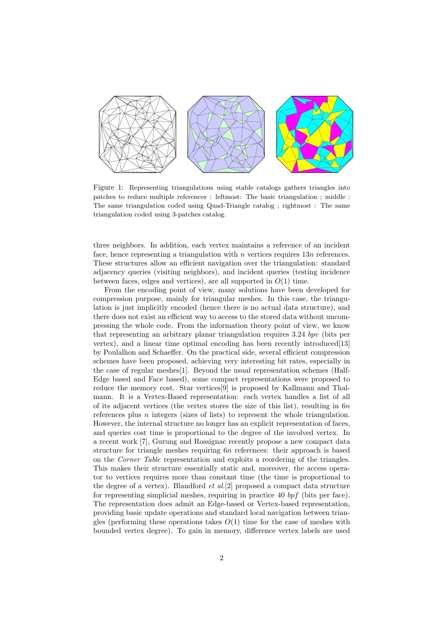

Figure 1: Representing triangulations using stable catalogs gathers triangles into patches to reduce multiple references : leftmost: The basic triangulation ; middle : The same triangulation coded using Quad-Triangle catalog ; rightmost : The same triangulation coded using 3-patches catalog.

three neighbors. In addition, each vertex maintains a reference of an incident face, hence representing a triangulation with n vertices requires  $13n$  references. These structures allow an efficient navigation over the triangulation: standard adjacency queries (visiting neighbors), and incident queries (testing incidence between faces, edges and vertices), are all supported in  $O(1)$  time.

From the encoding point of view, many solutions have been developed for compression purpose, mainly for triangular meshes. In this case, the triangulation is just implicitly encoded (hence there is no actual data structure), and there does not exist an efficient way to access to the stored data without uncompressing the whole code. From the information theory point of view, we know that representing an arbitrary planar triangulation requires 3.24 bpv (bits per vertex), and a linear time optimal encoding has been recently introduced[13] by Poulalhon and Schaeffer. On the practical side, several efficient compression schemes have been proposed, achieving very interesting bit rates, especially in the case of regular meshes[1]. Beyond the usual representation schemes (Half-Edge based and Face based), some compact representations were proposed to reduce the memory cost. Star vertices[9] is proposed by Kallmann and Thalmann. It is a Vertex-Based representation: each vertex handles a list of all of its adjacent vertices (the vertex stores the size of this list), resulting in  $6n$ references plus  $n$  integers (sizes of lists) to represent the whole triangulation. However, the internal structure no longer has an explicit representation of faces, and queries cost time is proportional to the degree of the involved vertex. In a recent work [7], Gurung and Rossignac recently propose a new compact data structure for triangle meshes requiring 6n references: their approach is based on the Corner Table representation and exploits a reordering of the triangles. This makes their structure essentially static and, moreover, the access operator to vertices requires more than constant time (the time is proportional to the degree of a vertex). Blandford  $et$   $al.[2]$  proposed a compact data structure for representing simplicial meshes, requiring in practice 40  $bpf$  (bits per face). The representation does admit an Edge-based or Vertex-based representation, providing basic update operations and standard local navigation between triangles (performing these operations takes  $O(1)$  time for the case of meshes with bounded vertex degree). To gain in memory, difference vertex labels are used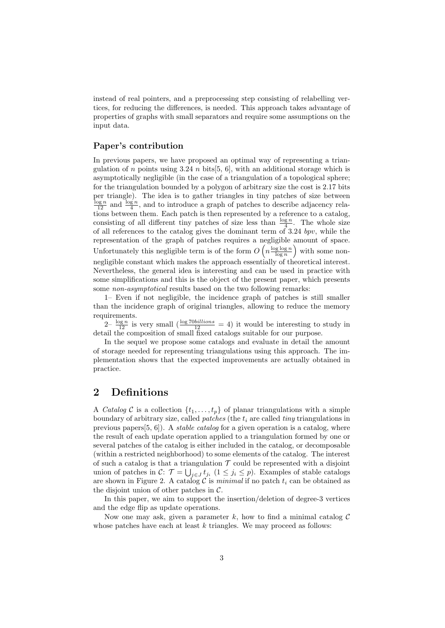instead of real pointers, and a preprocessing step consisting of relabelling vertices, for reducing the differences, is needed. This approach takes advantage of properties of graphs with small separators and require some assumptions on the input data.

## Paper's contribution

In previous papers, we have proposed an optimal way of representing a triangulation of n points using 3.24 n bits[5, 6], with an additional storage which is asymptotically negligible (in the case of a triangulation of a topological sphere; for the triangulation bounded by a polygon of arbitrary size the cost is 2.17 bits per triangle). The idea is to gather triangles in tiny patches of size between  $\frac{\log n}{12}$  and  $\frac{\log n}{4}$ , and to introduce a graph of patches to describe adjacency relations between them. Each patch is then represented by a reference to a catalog, consisting of all different tiny patches of size less than  $\frac{\log n}{4}$ . The whole size of all references to the catalog gives the dominant term of  $3.24$  bpv, while the representation of the graph of patches requires a negligible amount of space. Unfortunately this negligible term is of the form  $O\left(n\frac{\log\log n}{\log n}\right)$  with some nonnegligible constant which makes the approach essentially of theoretical interest. Nevertheless, the general idea is interesting and can be used in practice with some simplifications and this is the object of the present paper, which presents some non-asymptotical results based on the two following remarks:

1– Even if not negligible, the incidence graph of patches is still smaller than the incidence graph of original triangles, allowing to reduce the memory requirements.

 $2-\frac{\log n}{12}$  is very small  $\left(\frac{\log 70 \, \text{billions}}{12}\right) = 4$  it would be interesting to study in detail the composition of small fixed catalogs suitable for our purpose.

In the sequel we propose some catalogs and evaluate in detail the amount of storage needed for representing triangulations using this approach. The implementation shows that the expected improvements are actually obtained in practice.

## 2 Definitions

A Catalog C is a collection  $\{t_1, \ldots, t_p\}$  of planar triangulations with a simple boundary of arbitrary size, called *patches* (the  $t_i$  are called *tiny* triangulations in previous papers $[5, 6]$ . A *stable catalog* for a given operation is a catalog, where the result of each update operation applied to a triangulation formed by one or several patches of the catalog is either included in the catalog, or decomposable (within a restricted neighborhood) to some elements of the catalog. The interest of such a catalog is that a triangulation  $\mathcal T$  could be represented with a disjoint union of patches in  $\mathcal{C}$ :  $\mathcal{T} = \bigcup_{j \in J} t_{j_i}$   $(1 \leq j_i \leq p)$ . Examples of stable catalogs are shown in Figure 2. A catalog C is minimal if no patch  $t_i$  can be obtained as the disjoint union of other patches in  $\mathcal{C}$ .

In this paper, we aim to support the insertion/deletion of degree-3 vertices and the edge flip as update operations.

Now one may ask, given a parameter k, how to find a minimal catalog  $\mathcal C$ whose patches have each at least  $k$  triangles. We may proceed as follows: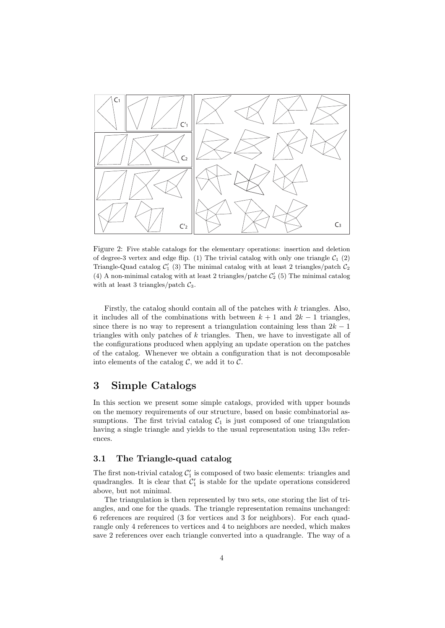

Figure 2: Five stable catalogs for the elementary operations: insertion and deletion of degree-3 vertex and edge flip. (1) The trivial catalog with only one triangle  $C_1$  (2) Triangle-Quad catalog  $C'_1$  (3) The minimal catalog with at least 2 triangles/patch  $C_2$ (4) A non-minimal catalog with at least 2 triangles/patche  $\mathcal{C}'_2$  (5) The minimal catalog with at least 3 triangles/patch  $\mathcal{C}_3$ .

Firstly, the catalog should contain all of the patches with  $k$  triangles. Also, it includes all of the combinations with between  $k + 1$  and  $2k - 1$  triangles, since there is no way to represent a triangulation containing less than  $2k - 1$ triangles with only patches of  $k$  triangles. Then, we have to investigate all of the configurations produced when applying an update operation on the patches of the catalog. Whenever we obtain a configuration that is not decomposable into elements of the catalog  $C$ , we add it to  $C$ .

## 3 Simple Catalogs

In this section we present some simple catalogs, provided with upper bounds on the memory requirements of our structure, based on basic combinatorial assumptions. The first trivial catalog  $C_1$  is just composed of one triangulation having a single triangle and yields to the usual representation using  $13n$  references.

### 3.1 The Triangle-quad catalog

The first non-trivial catalog  $\mathcal{C}_1'$  is composed of two basic elements: triangles and quadrangles. It is clear that  $C_1'$  is stable for the update operations considered above, but not minimal.

The triangulation is then represented by two sets, one storing the list of triangles, and one for the quads. The triangle representation remains unchanged: 6 references are required (3 for vertices and 3 for neighbors). For each quadrangle only 4 references to vertices and 4 to neighbors are needed, which makes save 2 references over each triangle converted into a quadrangle. The way of a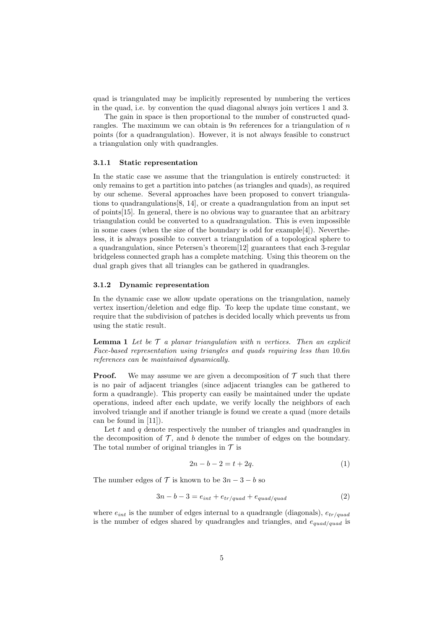quad is triangulated may be implicitly represented by numbering the vertices in the quad, i.e. by convention the quad diagonal always join vertices 1 and 3.

The gain in space is then proportional to the number of constructed quadrangles. The maximum we can obtain is  $9n$  references for a triangulation of n points (for a quadrangulation). However, it is not always feasible to construct a triangulation only with quadrangles.

#### 3.1.1 Static representation

In the static case we assume that the triangulation is entirely constructed: it only remains to get a partition into patches (as triangles and quads), as required by our scheme. Several approaches have been proposed to convert triangulations to quadrangulations[8, 14], or create a quadrangulation from an input set of points[15]. In general, there is no obvious way to guarantee that an arbitrary triangulation could be converted to a quadrangulation. This is even impossible in some cases (when the size of the boundary is odd for example[4]). Nevertheless, it is always possible to convert a triangulation of a topological sphere to a quadrangulation, since Petersen's theorem[12] guarantees that each 3-regular bridgeless connected graph has a complete matching. Using this theorem on the dual graph gives that all triangles can be gathered in quadrangles.

#### 3.1.2 Dynamic representation

In the dynamic case we allow update operations on the triangulation, namely vertex insertion/deletion and edge flip. To keep the update time constant, we require that the subdivision of patches is decided locally which prevents us from using the static result.

**Lemma 1** Let be  $\mathcal{T}$  a planar triangulation with n vertices. Then an explicit Face-based representation using triangles and quads requiring less than 10.6n references can be maintained dynamically.

**Proof.** We may assume we are given a decomposition of  $\mathcal T$  such that there is no pair of adjacent triangles (since adjacent triangles can be gathered to form a quadrangle). This property can easily be maintained under the update operations, indeed after each update, we verify locally the neighbors of each involved triangle and if another triangle is found we create a quad (more details can be found in [11]).

Let t and q denote respectively the number of triangles and quadrangles in the decomposition of  $\mathcal{T}$ , and b denote the number of edges on the boundary. The total number of original triangles in  $\mathcal T$  is

$$
2n - b - 2 = t + 2q.\t\t(1)
$$

The number edges of  $\mathcal T$  is known to be  $3n-3-b$  so

$$
3n - b - 3 = e_{int} + e_{tr/quad} + e_{quad/quad}
$$
\n
$$
(2)
$$

where  $e_{int}$  is the number of edges internal to a quadrangle (diagonals),  $e_{tr/quad}$ is the number of edges shared by quadrangles and triangles, and  $e_{quad/quad}$  is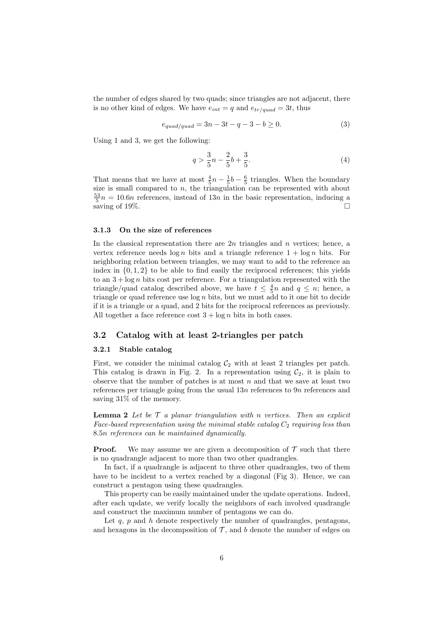the number of edges shared by two quads; since triangles are not adjacent, there is no other kind of edges. We have  $e_{int} = q$  and  $e_{tr/quad} = 3t$ , thus

$$
e_{quad/quad} = 3n - 3t - q - 3 - b \ge 0.
$$
 (3)

Using 1 and 3, we get the following:

$$
q > \frac{3}{5}n - \frac{2}{5}b + \frac{3}{5}.\tag{4}
$$

That means that we have at most  $\frac{4}{5}n - \frac{1}{5}b - \frac{6}{5}$  triangles. When the boundary size is small compared to  $n$ , the triangulation can be represented with about  $\frac{53}{5}n = 10.6n$  references, instead of 13n in the basic representation, inducing a saving of 19%.  $\Box$ 

#### 3.1.3 On the size of references

In the classical representation there are  $2n$  triangles and n vertices; hence, a vertex reference needs  $\log n$  bits and a triangle reference  $1 + \log n$  bits. For neighboring relation between triangles, we may want to add to the reference an index in  $\{0, 1, 2\}$  to be able to find easily the reciprocal references; this yields to an  $3 + \log n$  bits cost per reference. For a triangulation represented with the triangle/quad catalog described above, we have  $t \leq \frac{4}{5}n$  and  $q \leq n$ ; hence, a triangle or quad reference use  $\log n$  bits, but we must add to it one bit to decide if it is a triangle or a quad, and 2 bits for the reciprocal references as previously. All together a face reference cost  $3 + \log n$  bits in both cases.

## 3.2 Catalog with at least 2-triangles per patch

#### 3.2.1 Stable catalog

First, we consider the minimal catalog  $C_2$  with at least 2 triangles per patch. This catalog is drawn in Fig. 2. In a representation using  $C_2$ , it is plain to observe that the number of patches is at most  $n$  and that we save at least two references per triangle going from the usual 13n references to 9n references and saving 31% of the memory.

**Lemma 2** Let be  $\mathcal{T}$  a planar triangulation with n vertices. Then an explicit Face-based representation using the minimal stable catalog  $C_2$  requiring less than 8.5n references can be maintained dynamically.

**Proof.** We may assume we are given a decomposition of  $\mathcal T$  such that there is no quadrangle adjacent to more than two other quadrangles.

In fact, if a quadrangle is adjacent to three other quadrangles, two of them have to be incident to a vertex reached by a diagonal (Fig 3). Hence, we can construct a pentagon using these quadrangles.

This property can be easily maintained under the update operations. Indeed, after each update, we verify locally the neighbors of each involved quadrangle and construct the maximum number of pentagons we can do.

Let q,  $p$  and  $h$  denote respectively the number of quadrangles, pentagons, and hexagons in the decomposition of  $\mathcal{T}$ , and b denote the number of edges on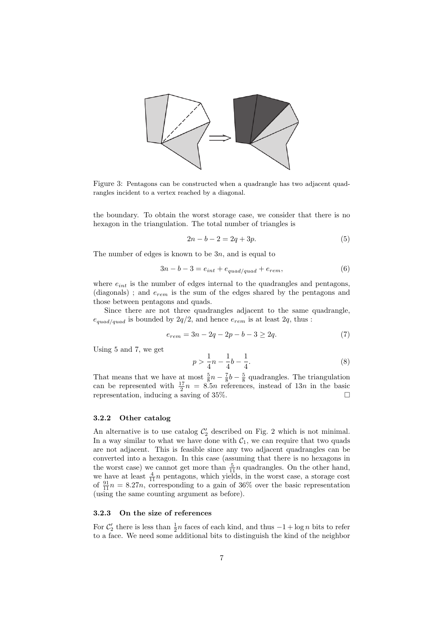

Figure 3: Pentagons can be constructed when a quadrangle has two adjacent quadrangles incident to a vertex reached by a diagonal.

the boundary. To obtain the worst storage case, we consider that there is no hexagon in the triangulation. The total number of triangles is

$$
2n - b - 2 = 2q + 3p.
$$
 (5)

The number of edges is known to be  $3n$ , and is equal to

$$
3n - b - 3 = e_{int} + e_{quad/quad} + e_{rem}, \tag{6}
$$

where  $e_{int}$  is the number of edges internal to the quadrangles and pentagons, (diagonals); and  $e_{rem}$  is the sum of the edges shared by the pentagons and those between pentagons and quads.

Since there are not three quadrangles adjacent to the same quadrangle,  $e_{quad/quad}$  is bounded by  $2q/2$ , and hence  $e_{rem}$  is at least  $2q$ , thus :

$$
e_{rem} = 3n - 2q - 2p - b - 3 \ge 2q. \tag{7}
$$

Using 5 and 7, we get

$$
p > \frac{1}{4}n - \frac{1}{4}b - \frac{1}{4}.
$$
\n(8)

That means that we have at most  $\frac{5}{8}n - \frac{7}{8}b - \frac{5}{8}$  quadrangles. The triangulation can be represented with  $\frac{17}{2}n = 8.5n$  references, instead of 13n in the basic representation, inducing a saving of 35%.  $\Box$ 

#### 3.2.2 Other catalog

An alternative is to use catalog  $C'_2$  described on Fig. 2 which is not minimal. In a way similar to what we have done with  $C_1$ , we can require that two quads are not adjacent. This is feasible since any two adjacent quadrangles can be converted into a hexagon. In this case (assuming that there is no hexagons in the worst case) we cannot get more than  $\frac{5}{11}n$  quadrangles. On the other hand, we have at least  $\frac{4}{11}n$  pentagons, which yields, in the worst case, a storage cost of  $\frac{91}{11}n = 8.27n$ , corresponding to a gain of 36% over the basic representation (using the same counting argument as before).

#### 3.2.3 On the size of references

For  $\mathcal{C}'_2$  there is less than  $\frac{1}{2}n$  faces of each kind, and thus  $-1 + \log n$  bits to refer to a face. We need some additional bits to distinguish the kind of the neighbor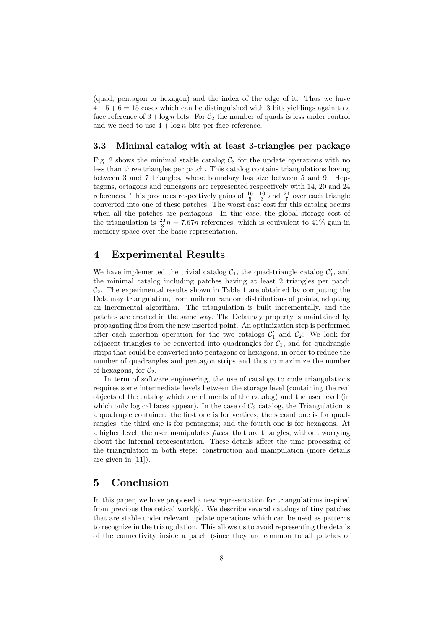(quad, pentagon or hexagon) and the index of the edge of it. Thus we have  $4 + 5 + 6 = 15$  cases which can be distinguished with 3 bits yieldings again to a face reference of  $3 + \log n$  bits. For  $C_2$  the number of quads is less under control and we need to use  $4 + \log n$  bits per face reference.

### 3.3 Minimal catalog with at least 3-triangles per package

Fig. 2 shows the minimal stable catalog  $C_3$  for the update operations with no less than three triangles per patch. This catalog contains triangulations having between 3 and 7 triangles, whose boundary has size between 5 and 9. Heptagons, octagons and enneagons are represented respectively with 14, 20 and 24 references. This produces respectively gains of  $\frac{16}{5}$ ,  $\frac{10}{3}$  and  $\frac{24}{7}$  over each triangle converted into one of these patches. The worst case cost for this catalog occurs when all the patches are pentagons. In this case, the global storage cost of the triangulation is  $\frac{23}{3}n = 7.67n$  references, which is equivalent to 41% gain in memory space over the basic representation.

## 4 Experimental Results

We have implemented the trivial catalog  $C_1$ , the quad-triangle catalog  $C_1'$ , and the minimal catalog including patches having at least 2 triangles per patch  $\mathcal{C}_2$ . The experimental results shown in Table 1 are obtained by computing the Delaunay triangulation, from uniform random distributions of points, adopting an incremental algorithm. The triangulation is built incrementally, and the patches are created in the same way. The Delaunay property is maintained by propagating flips from the new inserted point. An optimization step is performed after each insertion operation for the two catalogs  $C'_1$  and  $C_2$ : We look for adjacent triangles to be converted into quadrangles for  $C_1$ , and for quadrangle strips that could be converted into pentagons or hexagons, in order to reduce the number of quadrangles and pentagon strips and thus to maximize the number of hexagons, for  $C_2$ .

In term of software engineering, the use of catalogs to code triangulations requires some intermediate levels between the storage level (containing the real objects of the catalog which are elements of the catalog) and the user level (in which only logical faces appear). In the case of  $C_2$  catalog, the Triangulation is a quadruple container: the first one is for vertices; the second one is for quadrangles; the third one is for pentagons; and the fourth one is for hexagons. At a higher level, the user manipulates faces, that are triangles, without worrying about the internal representation. These details affect the time processing of the triangulation in both steps: construction and manipulation (more details are given in [11]).

## 5 Conclusion

In this paper, we have proposed a new representation for triangulations inspired from previous theoretical work[6]. We describe several catalogs of tiny patches that are stable under relevant update operations which can be used as patterns to recognize in the triangulation. This allows us to avoid representing the details of the connectivity inside a patch (since they are common to all patches of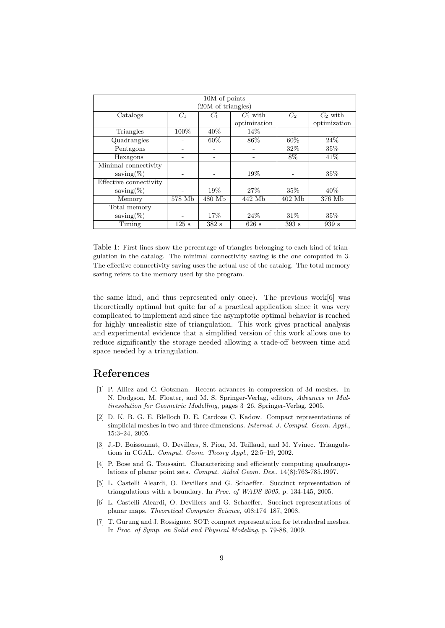| 10M of points          |        |        |              |          |              |
|------------------------|--------|--------|--------------|----------|--------------|
| (20M of triangles)     |        |        |              |          |              |
| Catalogs               | $C_1$  | $C_1'$ | $C'_1$ with  | $C_2$    | $C_2$ with   |
|                        |        |        | optimization |          | optimization |
| Triangles              | 100%   | 40%    | 14%          |          |              |
| Quadrangles            |        | 60%    | $86\%$       | 60%      | 24%          |
| Pentagons              |        |        |              | 32\%     | 35%          |
| Hexagons               |        |        |              | 8%       | 41\%         |
| Minimal connectivity   |        |        |              |          |              |
| saving $(\%)$          |        |        | 19%          |          | 35%          |
| Effective connectivity |        |        |              |          |              |
| saving $(\%)$          |        | 19%    | 27%          | $35\%$   | 40%          |
| Memory                 | 578 Mb | 480 Mb | 442 Mb       | $402$ Mb | 376 Mb       |
| Total memory           |        |        |              |          |              |
| saving $(\%)$          |        | 17\%   | 24%          | 31\%     | 35%          |
| Timing                 | 125 s  | 382s   | 626 s        | 393s     | 939 s        |

Table 1: First lines show the percentage of triangles belonging to each kind of triangulation in the catalog. The minimal connectivity saving is the one computed in 3. The effective connectivity saving uses the actual use of the catalog. The total memory saving refers to the memory used by the program.

the same kind, and thus represented only once). The previous work[6] was theoretically optimal but quite far of a practical application since it was very complicated to implement and since the asymptotic optimal behavior is reached for highly unrealistic size of triangulation. This work gives practical analysis and experimental evidence that a simplified version of this work allows one to reduce significantly the storage needed allowing a trade-off between time and space needed by a triangulation.

## References

- [1] P. Alliez and C. Gotsman. Recent advances in compression of 3d meshes. In N. Dodgson, M. Floater, and M. S. Springer-Verlag, editors, Advances in Multiresolution for Geometric Modelling, pages 3–26. Springer-Verlag, 2005.
- [2] D. K. B. G. E. Blelloch D. E. Cardoze C. Kadow. Compact representations of simplicial meshes in two and three dimensions. Internat. J. Comput. Geom. Appl., 15:3–24, 2005.
- [3] J.-D. Boissonnat, O. Devillers, S. Pion, M. Teillaud, and M. Yvinec. Triangulations in CGAL. Comput. Geom. Theory Appl., 22:5–19, 2002.
- [4] P. Bose and G. Toussaint. Characterizing and efficiently computing quadrangulations of planar point sets. Comput. Aided Geom. Des., 14(8):763-785,1997.
- [5] L. Castelli Aleardi, O. Devillers and G. Schaeffer. Succinct representation of triangulations with a boundary. In Proc. of WADS 2005, p. 134-145, 2005.
- [6] L. Castelli Aleardi, O. Devillers and G. Schaeffer. Succinct representations of planar maps. Theoretical Computer Science, 408:174–187, 2008.
- [7] T. Gurung and J. Rossignac. SOT: compact representation for tetrahedral meshes. In Proc. of Symp. on Solid and Physical Modeling, p. 79-88, 2009.